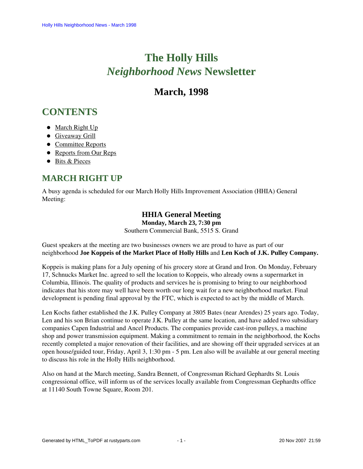# **The Holly Hills**  *Neighborhood News* **Newsletter**

## **March, 1998**

## <span id="page-0-1"></span>**CONTENTS**

- [March Right Up](#page-0-0)
- **•** [Giveaway Grill](#page-1-0)
- [Committee Reports](#page-1-1)
- [Reports from Our Reps](#page-3-0)
- [Bits & Pieces](#page-4-0)

### <span id="page-0-0"></span>**MARCH RIGHT UP**

A busy agenda is scheduled for our March Holly Hills Improvement Association (HHIA) General Meeting:

### **HHIA General Meeting**

**Monday, March 23, 7:30 pm**

Southern Commercial Bank, 5515 S. Grand

Guest speakers at the meeting are two businesses owners we are proud to have as part of our neighborhood **Joe Koppeis of the Market Place of Holly Hills** and **Len Koch of J.K. Pulley Company.**

Koppeis is making plans for a July opening of his grocery store at Grand and Iron. On Monday, February 17, Schnucks Market Inc. agreed to sell the location to Koppeis, who already owns a supermarket in Columbia, Illinois. The quality of products and services he is promising to bring to our neighborhood indicates that his store may well have been worth our long wait for a new neighborhood market. Final development is pending final approval by the FTC, which is expected to act by the middle of March.

Len Kochs father established the J.K. Pulley Company at 3805 Bates (near Arendes) 25 years ago. Today, Len and his son Brian continue to operate J.K. Pulley at the same location, and have added two subsidiary companies Capen Industrial and Ancel Products. The companies provide cast-iron pulleys, a machine shop and power transmission equipment. Making a commitment to remain in the neighborhood, the Kochs recently completed a major renovation of their facilities, and are showing off their upgraded services at an open house/guided tour, Friday, April 3, 1:30 pm - 5 pm. Len also will be available at our general meeting to discuss his role in the Holly Hills neighborhood.

Also on hand at the March meeting, Sandra Bennett, of Congressman Richard Gephardts St. Louis congressional office, will inform us of the services locally available from Congressman Gephardts office at 11140 South Towne Square, Room 201.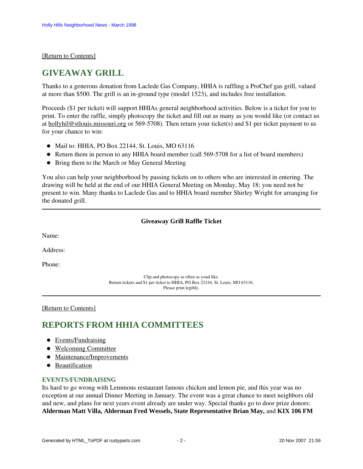### <span id="page-1-0"></span>[\[Return to Contents\]](#page-0-1)

### **GIVEAWAY GRILL**

Thanks to a generous donation from Laclede Gas Company, HHIA is raffling a ProChef gas grill, valued at more than \$500. The grill is an in-ground type (model 1523), and includes free installation.

Proceeds (\$1 per ticket) will support HHIAs general neighborhood activities. Below is a ticket for you to print. To enter the raffle, simply photocopy the ticket and fill out as many as you would like (or contact us at hollyhil@stlouis.missouri.org or 569-5708). Then return your ticket(s) and \$1 per ticket payment to us for your chance to win:

- $\bullet$  Mail to: HHIA, PO Box 22144, St. Louis, MO 63116
- Return them in person to any HHIA board member (call 569-5708 for a list of board members)
- Bring them to the March or May General Meeting

You also can help your neighborhood by passing tickets on to others who are interested in entering. The drawing will be held at the end of our HHIA General Meeting on Monday, May 18; you need not be present to win. Many thanks to Laclede Gas and to HHIA board member Shirley Wright for arranging for the donated grill.

### **Giveaway Grill Raffle Ticket**

Name:

Address:

Phone:

Clip and photocopy as often as youd like. Return tickets and \$1 per ticket to HHIA, PO Box 22144, St. Louis, MO 63116. Please print legibly.

#### <span id="page-1-1"></span>[\[Return to Contents\]](#page-0-1)

### <span id="page-1-3"></span>**REPORTS FROM HHIA COMMITTEES**

- [Events/Fundraising](#page-1-2)
- [Welcoming Committee](#page-2-0)
- [Maintenance/Improvements](#page-2-1)
- **•** [Beautification](#page-2-2)

#### <span id="page-1-2"></span>**EVENTS/FUNDRAISING**

Its hard to go wrong with Lemmons restaurant famous chicken and lemon pie, and this year was no exception at our annual Dinner Meeting in January. The event was a great chance to meet neighbors old and new, and plans for next years event already are under way. Special thanks go to door prize donors: **Alderman Matt Villa, Alderman Fred Wessels, State Representative Brian May,** and **KIX 106 FM**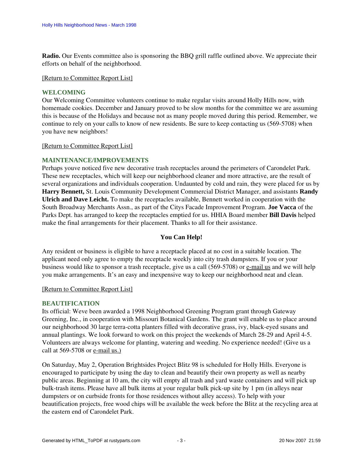**Radio.** Our Events committee also is sponsoring the BBQ grill raffle outlined above. We appreciate their efforts on behalf of the neighborhood.

### [\[Return to Committee Report List\]](#page-1-3)

### <span id="page-2-0"></span>**WELCOMING**

Our Welcoming Committee volunteers continue to make regular visits around Holly Hills now, with homemade cookies. December and January proved to be slow months for the committee we are assuming this is because of the Holidays and because not as many people moved during this period. Remember, we continue to rely on your calls to know of new residents. Be sure to keep contacting us (569-5708) when you have new neighbors!

#### [\[Return to Committee Report List\]](#page-1-3)

### <span id="page-2-1"></span>**MAINTENANCE/IMPROVEMENTS**

Perhaps youve noticed five new decorative trash receptacles around the perimeters of Carondelet Park. These new receptacles, which will keep our neighborhood cleaner and more attractive, are the result of several organizations and individuals cooperation. Undaunted by cold and rain, they were placed for us by **Harry Bennett,** St. Louis Community Development Commercial District Manager, and assistants **Randy Ulrich and Dave Leicht.** To make the receptacles available, Bennett worked in cooperation with the South Broadway Merchants Assn., as part of the Citys Facade Improvement Program. **Joe Vacca** of the Parks Dept. has arranged to keep the receptacles emptied for us. HHIA Board member **Bill Davis** helped make the final arrangements for their placement. Thanks to all for their assistance.

### **You Can Help!**

Any resident or business is eligible to have a receptacle placed at no cost in a suitable location. The applicant need only agree to empty the receptacle weekly into city trash dumpsters. If you or your business would like to sponsor a trash receptacle, give us a call (569-5708) or e-mail us and we will help you make arrangements. It's an easy and inexpensive way to keep our neighborhood neat and clean.

#### [\[Return to Committee Report List\]](#page-1-3)

#### <span id="page-2-2"></span>**BEAUTIFICATION**

Its official: Weve been awarded a 1998 Neighborhood Greening Program grant through Gateway Greening, Inc., in cooperation with Missouri Botanical Gardens. The grant will enable us to place around our neighborhood 30 large terra-cotta planters filled with decorative grass, ivy, black-eyed susans and annual plantings. We look forward to work on this project the weekends of March 28-29 and April 4-5. Volunteers are always welcome for planting, watering and weeding. No experience needed! (Give us a call at 569-5708 or e-mail us.)

On Saturday, May 2, Operation Brightsides Project Blitz 98 is scheduled for Holly Hills. Everyone is encouraged to participate by using the day to clean and beautify their own property as well as nearby public areas. Beginning at 10 am, the city will empty all trash and yard waste containers and will pick up bulk-trash items. Please have all bulk items at your regular bulk pick-up site by 1 pm (in alleys near dumpsters or on curbside fronts for those residences without alley access). To help with your beautification projects, free wood chips will be available the week before the Blitz at the recycling area at the eastern end of Carondelet Park.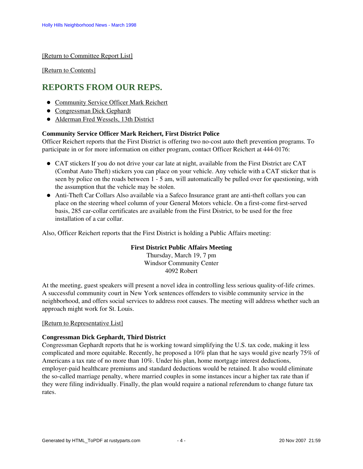[\[Return to Committee Report List\]](#page-1-3)

[\[Return to Contents\]](#page-0-1)

### <span id="page-3-3"></span><span id="page-3-0"></span>**REPORTS FROM OUR REPS.**

- **[Community Service Officer Mark Reichert](#page-3-1)**
- [Congressman Dick Gephardt](#page-3-2)
- [Alderman Fred Wessels, 13th District](#page-4-1)

### <span id="page-3-1"></span>**Community Service Officer Mark Reichert, First District Police**

Officer Reichert reports that the First District is offering two no-cost auto theft prevention programs. To participate in or for more information on either program, contact Officer Reichert at 444-0176:

- CAT stickers If you do not drive your car late at night, available from the First District are CAT (Combat Auto Theft) stickers you can place on your vehicle. Any vehicle with a CAT sticker that is seen by police on the roads between 1 - 5 am, will automatically be pulled over for questioning, with the assumption that the vehicle may be stolen.
- Anti-Theft Car Collars Also available via a Safeco Insurance grant are anti-theft collars you can place on the steering wheel column of your General Motors vehicle. On a first-come first-served basis, 285 car-collar certificates are available from the First District, to be used for the free installation of a car collar.

Also, Officer Reichert reports that the First District is holding a Public Affairs meeting:

### **First District Public Affairs Meeting**

Thursday, March 19, 7 pm Windsor Community Center 4092 Robert

At the meeting, guest speakers will present a novel idea in controlling less serious quality-of-life crimes. A successful community court in New York sentences offenders to visible community service in the neighborhood, and offers social services to address root causes. The meeting will address whether such an approach might work for St. Louis.

### [\[Return to Representative List\]](#page-3-3)

### <span id="page-3-2"></span>**Congressman Dick Gephardt, Third District**

Congressman Gephardt reports that he is working toward simplifying the U.S. tax code, making it less complicated and more equitable. Recently, he proposed a 10% plan that he says would give nearly 75% of Americans a tax rate of no more than 10%. Under his plan, home mortgage interest deductions, employer-paid healthcare premiums and standard deductions would be retained. It also would eliminate the so-called marriage penalty, where married couples in some instances incur a higher tax rate than if they were filing individually. Finally, the plan would require a national referendum to change future tax rates.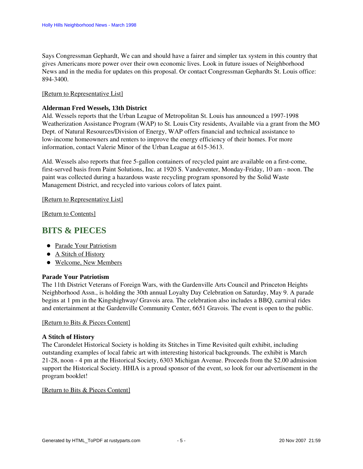Says Congressman Gephardt, We can and should have a fairer and simpler tax system in this country that gives Americans more power over their own economic lives. Look in future issues of Neighborhood News and in the media for updates on this proposal. Or contact Congressman Gephardts St. Louis office: 894-3400.

### [\[Return to Representative List\]](#page-3-3)

### <span id="page-4-1"></span>**Alderman Fred Wessels, 13th District**

Ald. Wessels reports that the Urban League of Metropolitan St. Louis has announced a 1997-1998 Weatherization Assistance Program (WAP) to St. Louis City residents, Available via a grant from the MO Dept. of Natural Resources/Division of Energy, WAP offers financial and technical assistance to low-income homeowners and renters to improve the energy efficiency of their homes. For more information, contact Valerie Minor of the Urban League at 615-3613.

Ald. Wessels also reports that free 5-gallon containers of recycled paint are available on a first-come, first-served basis from Paint Solutions, Inc. at 1920 S. Vandeventer, Monday-Friday, 10 am - noon. The paint was collected during a hazardous waste recycling program sponsored by the Solid Waste Management District, and recycled into various colors of latex paint.

### [\[Return to Representative List\]](#page-3-3)

[\[Return to Contents\]](#page-0-1)

### <span id="page-4-4"></span><span id="page-4-0"></span>**BITS & PIECES**

- [Parade Your Patriotism](#page-4-2)
- [A Stitch of History](#page-4-3)
- [Welcome, New Members](#page-5-0)

### <span id="page-4-2"></span>**Parade Your Patriotism**

The 11th District Veterans of Foreign Wars, with the Gardenville Arts Council and Princeton Heights Neighborhood Assn., is holding the 30th annual Loyalty Day Celebration on Saturday, May 9. A parade begins at 1 pm in the Kingshighway/ Gravois area. The celebration also includes a BBQ, carnival rides and entertainment at the Gardenville Community Center, 6651 Gravois. The event is open to the public.

### [\[Return to Bits & Pieces Content\]](#page-4-4)

### <span id="page-4-3"></span>**A Stitch of History**

The Carondelet Historical Society is holding its Stitches in Time Revisited quilt exhibit, including outstanding examples of local fabric art with interesting historical backgrounds. The exhibit is March 21-28, noon - 4 pm at the Historical Society, 6303 Michigan Avenue. Proceeds from the \$2.00 admission support the Historical Society. HHIA is a proud sponsor of the event, so look for our advertisement in the program booklet!

### [\[Return to Bits & Pieces Content\]](#page-4-4)